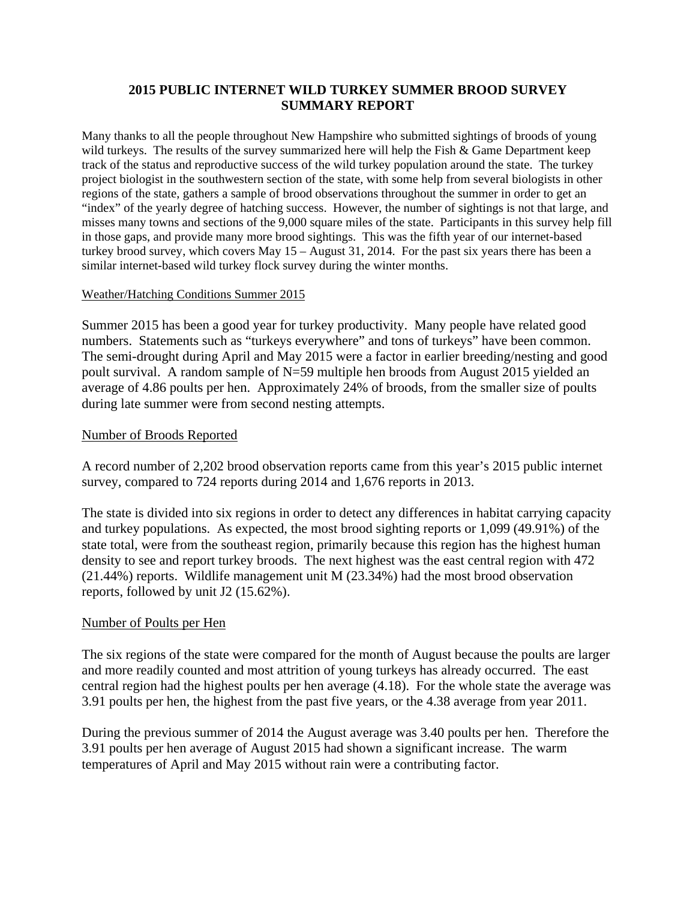#### **2015 PUBLIC INTERNET WILD TURKEY SUMMER BROOD SURVEY SUMMARY REPORT**

Many thanks to all the people throughout New Hampshire who submitted sightings of broods of young wild turkeys. The results of the survey summarized here will help the Fish & Game Department keep track of the status and reproductive success of the wild turkey population around the state. The turkey project biologist in the southwestern section of the state, with some help from several biologists in other regions of the state, gathers a sample of brood observations throughout the summer in order to get an "index" of the yearly degree of hatching success. However, the number of sightings is not that large, and misses many towns and sections of the 9,000 square miles of the state. Participants in this survey help fill in those gaps, and provide many more brood sightings. This was the fifth year of our internet-based turkey brood survey, which covers May  $15 -$ August 31, 2014. For the past six years there has been a similar internet-based wild turkey flock survey during the winter months.

#### Weather/Hatching Conditions Summer 2015

Summer 2015 has been a good year for turkey productivity. Many people have related good numbers. Statements such as "turkeys everywhere" and tons of turkeys" have been common. The semi-drought during April and May 2015 were a factor in earlier breeding/nesting and good poult survival. A random sample of N=59 multiple hen broods from August 2015 yielded an average of 4.86 poults per hen. Approximately 24% of broods, from the smaller size of poults during late summer were from second nesting attempts.

#### Number of Broods Reported

A record number of 2,202 brood observation reports came from this year's 2015 public internet survey, compared to 724 reports during 2014 and 1,676 reports in 2013.

The state is divided into six regions in order to detect any differences in habitat carrying capacity and turkey populations. As expected, the most brood sighting reports or 1,099 (49.91%) of the state total, were from the southeast region, primarily because this region has the highest human density to see and report turkey broods. The next highest was the east central region with 472 (21.44%) reports. Wildlife management unit M (23.34%) had the most brood observation reports, followed by unit J2 (15.62%).

#### Number of Poults per Hen

The six regions of the state were compared for the month of August because the poults are larger and more readily counted and most attrition of young turkeys has already occurred. The east central region had the highest poults per hen average (4.18). For the whole state the average was 3.91 poults per hen, the highest from the past five years, or the 4.38 average from year 2011.

During the previous summer of 2014 the August average was 3.40 poults per hen. Therefore the 3.91 poults per hen average of August 2015 had shown a significant increase. The warm temperatures of April and May 2015 without rain were a contributing factor.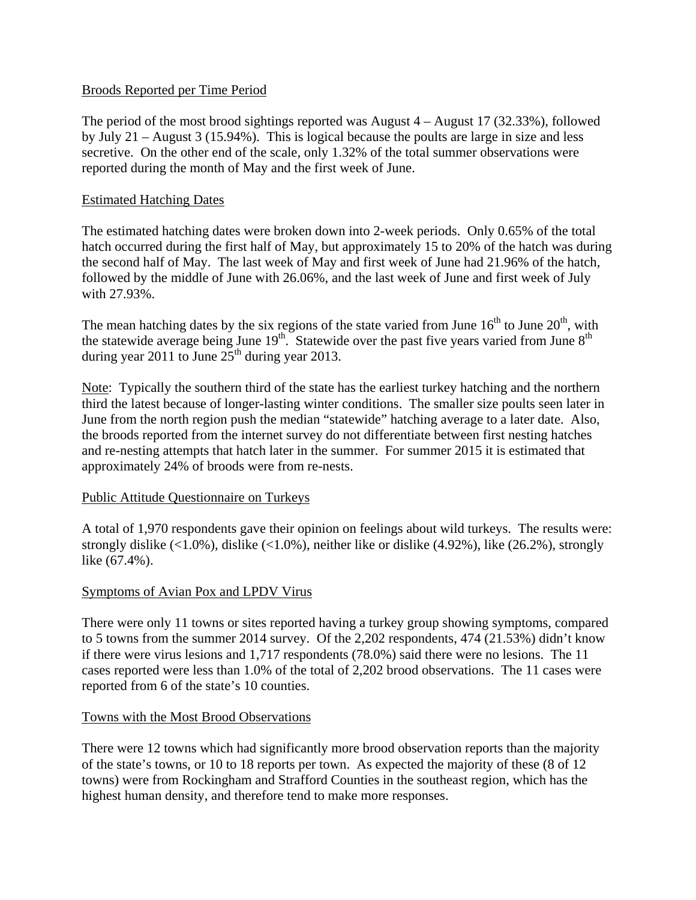#### Broods Reported per Time Period

The period of the most brood sightings reported was August 4 – August 17 (32.33%), followed by July 21 – August 3 (15.94%). This is logical because the poults are large in size and less secretive. On the other end of the scale, only 1.32% of the total summer observations were reported during the month of May and the first week of June.

#### Estimated Hatching Dates

The estimated hatching dates were broken down into 2-week periods. Only 0.65% of the total hatch occurred during the first half of May, but approximately 15 to 20% of the hatch was during the second half of May. The last week of May and first week of June had 21.96% of the hatch, followed by the middle of June with 26.06%, and the last week of June and first week of July with 27.93%.

The mean hatching dates by the six regions of the state varied from June  $16^{th}$  to June  $20^{th}$ , with the statewide average being June  $19^{th}$ . Statewide over the past five years varied from June  $8^{th}$ during year 2011 to June  $25<sup>th</sup>$  during year 2013.

Note: Typically the southern third of the state has the earliest turkey hatching and the northern third the latest because of longer-lasting winter conditions. The smaller size poults seen later in June from the north region push the median "statewide" hatching average to a later date. Also, the broods reported from the internet survey do not differentiate between first nesting hatches and re-nesting attempts that hatch later in the summer. For summer 2015 it is estimated that approximately 24% of broods were from re-nests.

#### Public Attitude Questionnaire on Turkeys

A total of 1,970 respondents gave their opinion on feelings about wild turkeys. The results were: strongly dislike  $(\langle 1.0\%$ ), dislike  $(\langle 1.0\%$ ), neither like or dislike  $(4.92\%)$ , like  $(26.2\%)$ , strongly like (67.4%).

### Symptoms of Avian Pox and LPDV Virus

There were only 11 towns or sites reported having a turkey group showing symptoms, compared to 5 towns from the summer 2014 survey. Of the 2,202 respondents, 474 (21.53%) didn't know if there were virus lesions and 1,717 respondents (78.0%) said there were no lesions. The 11 cases reported were less than 1.0% of the total of 2,202 brood observations. The 11 cases were reported from 6 of the state's 10 counties.

#### Towns with the Most Brood Observations

There were 12 towns which had significantly more brood observation reports than the majority of the state's towns, or 10 to 18 reports per town. As expected the majority of these (8 of 12 towns) were from Rockingham and Strafford Counties in the southeast region, which has the highest human density, and therefore tend to make more responses.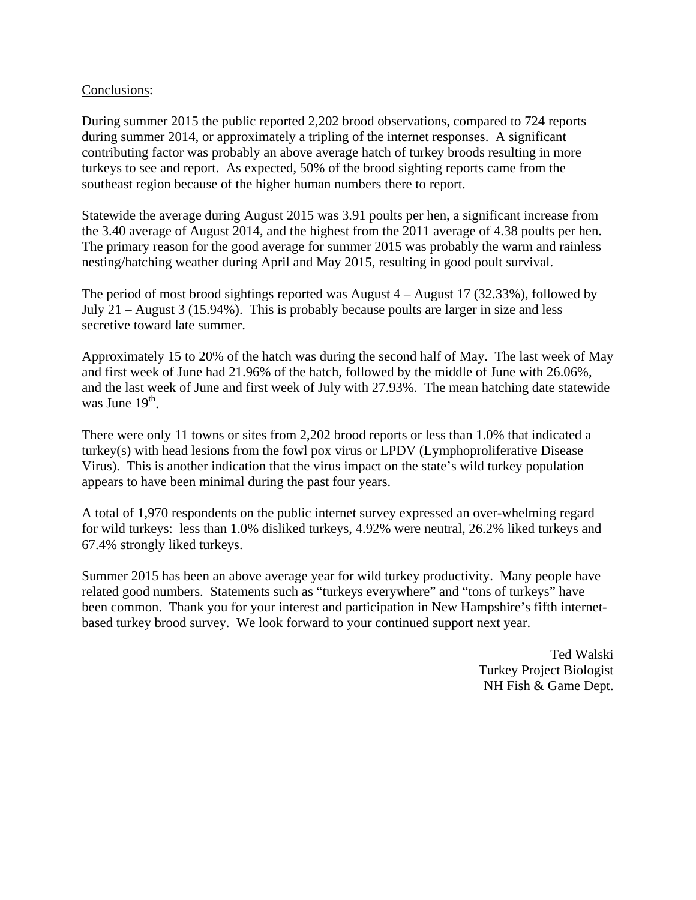#### Conclusions:

During summer 2015 the public reported 2,202 brood observations, compared to 724 reports during summer 2014, or approximately a tripling of the internet responses. A significant contributing factor was probably an above average hatch of turkey broods resulting in more turkeys to see and report. As expected, 50% of the brood sighting reports came from the southeast region because of the higher human numbers there to report.

Statewide the average during August 2015 was 3.91 poults per hen, a significant increase from the 3.40 average of August 2014, and the highest from the 2011 average of 4.38 poults per hen. The primary reason for the good average for summer 2015 was probably the warm and rainless nesting/hatching weather during April and May 2015, resulting in good poult survival.

The period of most brood sightings reported was August 4 – August 17 (32.33%), followed by July 21 – August 3 (15.94%). This is probably because poults are larger in size and less secretive toward late summer.

Approximately 15 to 20% of the hatch was during the second half of May. The last week of May and first week of June had 21.96% of the hatch, followed by the middle of June with 26.06%, and the last week of June and first week of July with 27.93%. The mean hatching date statewide was June  $19<sup>th</sup>$ .

There were only 11 towns or sites from 2,202 brood reports or less than 1.0% that indicated a turkey(s) with head lesions from the fowl pox virus or LPDV (Lymphoproliferative Disease Virus). This is another indication that the virus impact on the state's wild turkey population appears to have been minimal during the past four years.

A total of 1,970 respondents on the public internet survey expressed an over-whelming regard for wild turkeys: less than 1.0% disliked turkeys, 4.92% were neutral, 26.2% liked turkeys and 67.4% strongly liked turkeys.

Summer 2015 has been an above average year for wild turkey productivity. Many people have related good numbers. Statements such as "turkeys everywhere" and "tons of turkeys" have been common. Thank you for your interest and participation in New Hampshire's fifth internetbased turkey brood survey. We look forward to your continued support next year.

> Ted Walski Turkey Project Biologist NH Fish & Game Dept.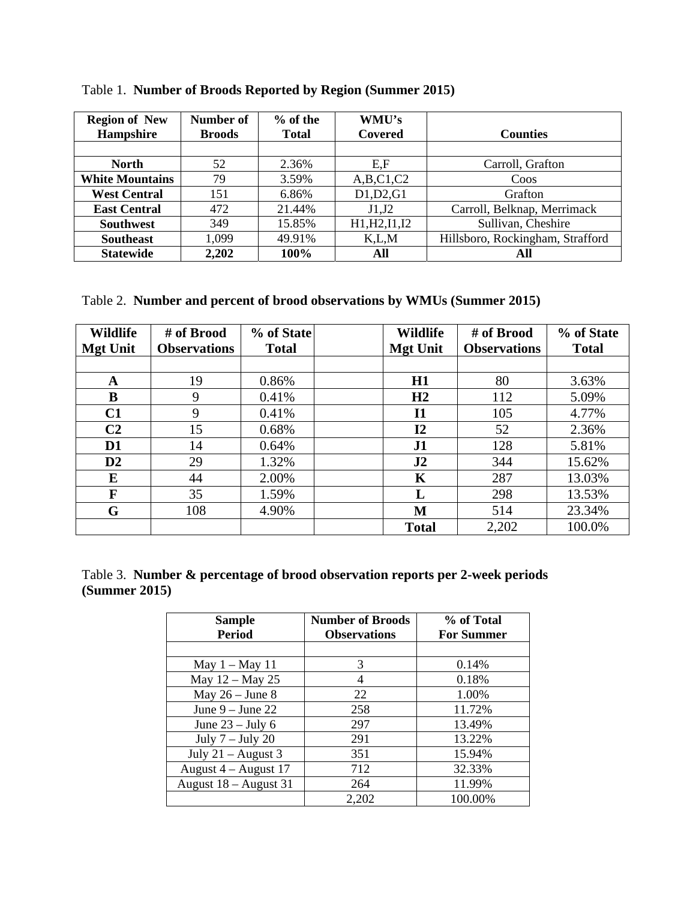| <b>Region of New</b><br>Hampshire | Number of<br><b>Broods</b> | $%$ of the<br><b>Total</b> | WMU's<br>Covered | <b>Counties</b>                  |
|-----------------------------------|----------------------------|----------------------------|------------------|----------------------------------|
|                                   |                            |                            |                  |                                  |
| <b>North</b>                      | 52                         | 2.36%                      | E, F             | Carroll, Grafton                 |
| <b>White Mountains</b>            | 79                         | 3.59%                      | A,B,C1,C2        | Coos                             |
| <b>West Central</b>               | 151                        | 6.86%                      | D1,D2,G1         | Grafton                          |
| <b>East Central</b>               | 472                        | 21.44%                     | J1,J2            | Carroll, Belknap, Merrimack      |
| <b>Southwest</b>                  | 349                        | 15.85%                     | H1, H2, I1, I2   | Sullivan, Cheshire               |
| <b>Southeast</b>                  | 1,099                      | 49.91%                     | K, L, M          | Hillsboro, Rockingham, Strafford |
| <b>Statewide</b>                  | 2,202                      | 100%                       | All              | All                              |

Table 1. **Number of Broods Reported by Region (Summer 2015)** 

Table 2. **Number and percent of brood observations by WMUs (Summer 2015)** 

| <b>Wildlife</b><br><b>Mgt Unit</b> | # of Brood<br><b>Observations</b> | % of State<br><b>Total</b> | <b>Wildlife</b><br><b>Mgt Unit</b> | # of Brood<br><b>Observations</b> | % of State<br><b>Total</b> |
|------------------------------------|-----------------------------------|----------------------------|------------------------------------|-----------------------------------|----------------------------|
|                                    |                                   |                            |                                    |                                   |                            |
| A                                  | 19                                | 0.86%                      | H1                                 | 80                                | 3.63%                      |
| B                                  | 9                                 | 0.41%                      | H2                                 | 112                               | 5.09%                      |
| C1                                 | 9                                 | 0.41%                      | <b>I1</b>                          | 105                               | 4.77%                      |
| C <sub>2</sub>                     | 15                                | 0.68%                      | 12                                 | 52                                | 2.36%                      |
| D <sub>1</sub>                     | 14                                | 0.64%                      | J1                                 | 128                               | 5.81%                      |
| D2                                 | 29                                | 1.32%                      | J2                                 | 344                               | 15.62%                     |
| E                                  | 44                                | 2.00%                      | K                                  | 287                               | 13.03%                     |
| F                                  | 35                                | 1.59%                      | L                                  | 298                               | 13.53%                     |
| G                                  | 108                               | 4.90%                      | M                                  | 514                               | 23.34%                     |
|                                    |                                   |                            | <b>Total</b>                       | 2,202                             | 100.0%                     |

Table 3. **Number & percentage of brood observation reports per 2-week periods (Summer 2015)** 

| Sample<br><b>Period</b> | <b>Number of Broods</b><br><b>Observations</b> | % of Total<br><b>For Summer</b> |
|-------------------------|------------------------------------------------|---------------------------------|
|                         |                                                |                                 |
| May $1 -$ May $11$      | 3                                              | 0.14%                           |
| May 12 - May 25         | 4                                              | 0.18%                           |
| May $26 - June 8$       | 22                                             | 1.00%                           |
| June $9 -$ June 22      | 258                                            | 11.72%                          |
| June $23 -$ July 6      | 297                                            | 13.49%                          |
| July $7 -$ July 20      | 291                                            | 13.22%                          |
| July $21 -$ August 3    | 351                                            | 15.94%                          |
| August $4 -$ August 17  | 712                                            | 32.33%                          |
| August $18 -$ August 31 | 264                                            | 11.99%                          |
|                         | 2,202                                          | 100.00%                         |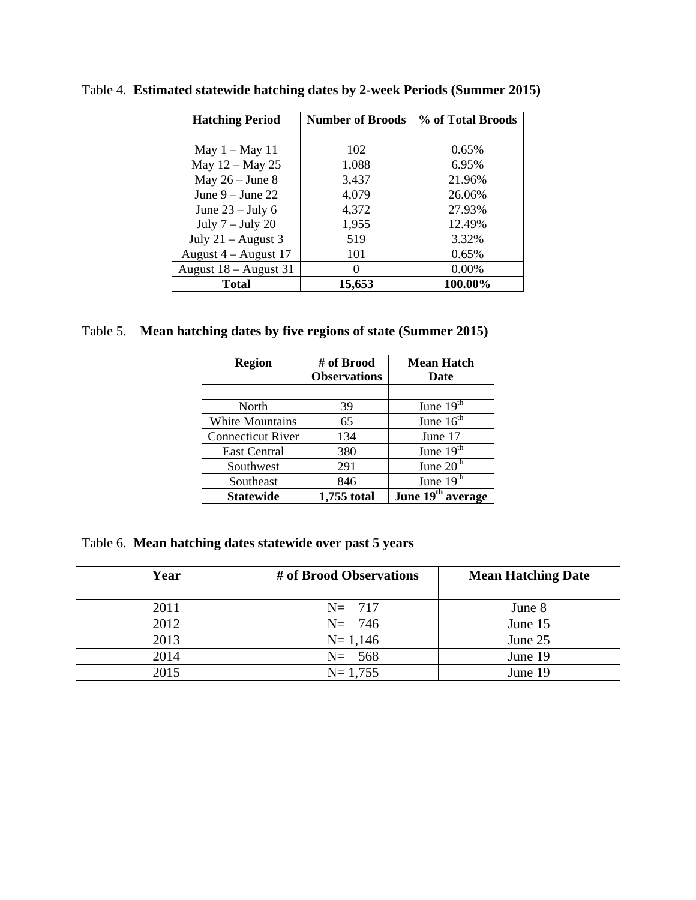| <b>Hatching Period</b> | <b>Number of Broods</b> | % of Total Broods |
|------------------------|-------------------------|-------------------|
|                        |                         |                   |
| May $1 -$ May 11       | 102                     | 0.65%             |
| May 12 - May 25        | 1,088                   | 6.95%             |
| May $26 -$ June 8      | 3,437                   | 21.96%            |
| June $9 -$ June 22     | 4,079                   | 26.06%            |
| June $23 -$ July 6     | 4,372                   | 27.93%            |
| July $7 -$ July 20     | 1,955                   | 12.49%            |
| July $21 -$ August 3   | 519                     | 3.32%             |
| August $4 -$ August 17 | 101                     | 0.65%             |
| August 18 - August 31  |                         | $0.00\%$          |
| <b>Total</b>           | 15,653                  | 100.00%           |

Table 4. **Estimated statewide hatching dates by 2-week Periods (Summer 2015)** 

# Table 5. **Mean hatching dates by five regions of state (Summer 2015)**

| <b>Region</b>            | # of Brood          | <b>Mean Hatch</b>             |
|--------------------------|---------------------|-------------------------------|
|                          | <b>Observations</b> | Date                          |
|                          |                     |                               |
| North                    | 39                  | June $19th$                   |
| <b>White Mountains</b>   | 65                  | June $16th$                   |
| <b>Connecticut River</b> | 134                 | June 17                       |
| East Central             | 380                 | June $19th$                   |
| Southwest                | 291                 | June $20th$                   |
| Southeast                | 846                 | June $19th$                   |
| Statewide                | 1,755 total         | June 19 <sup>th</sup> average |

Table 6. **Mean hatching dates statewide over past 5 years** 

| Year | # of Brood Observations | <b>Mean Hatching Date</b> |
|------|-------------------------|---------------------------|
|      |                         |                           |
| 2011 | $N = 717$               | June 8                    |
| 2012 | $N = 746$               | June 15                   |
| 2013 | $N = 1,146$             | June 25                   |
| 2014 | $N = 568$               | June 19                   |
| 2015 | $N = 1,755$             | June 19                   |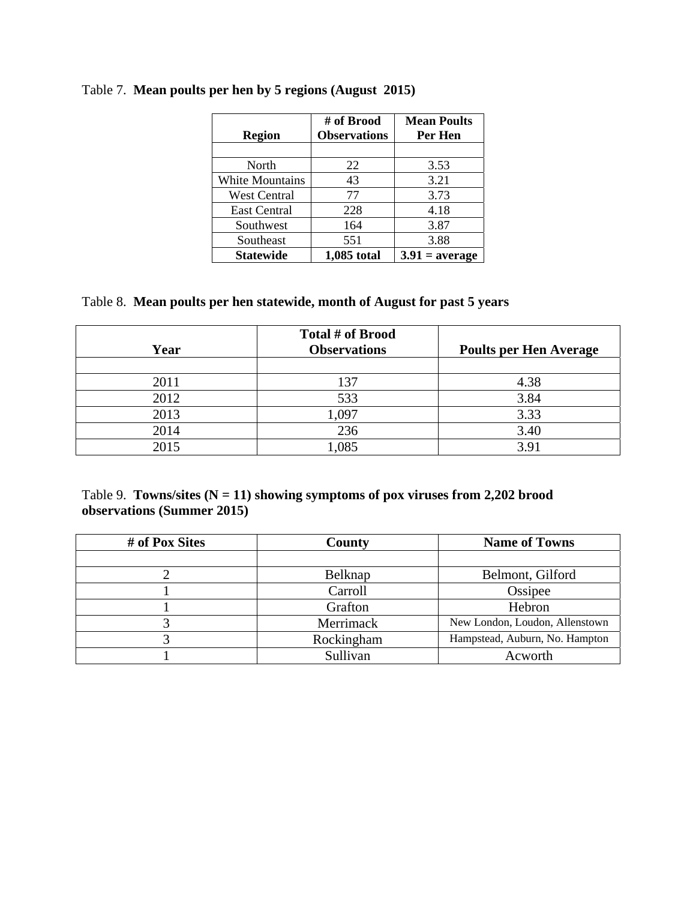| <b>Region</b>       | # of Brood<br><b>Observations</b> | <b>Mean Poults</b><br>Per Hen |
|---------------------|-----------------------------------|-------------------------------|
|                     |                                   |                               |
| North               | 22                                | 3.53                          |
| White Mountains     | 43                                | 3.21                          |
| <b>West Central</b> | 77                                | 3.73                          |
| <b>East Central</b> | 228                               | 4.18                          |
| Southwest           | 164                               | 3.87                          |
| Southeast           | 551                               | 3.88                          |
| <b>Statewide</b>    | 1,085 total                       | $3.91$ = average              |

# Table 7. **Mean poults per hen by 5 regions (August 2015)**

## Table 8. **Mean poults per hen statewide, month of August for past 5 years**

| Year | Total # of Brood<br><b>Observations</b> | <b>Poults per Hen Average</b> |
|------|-----------------------------------------|-------------------------------|
|      |                                         |                               |
| 2011 | 137                                     | 4.38                          |
| 2012 | 533                                     | 3.84                          |
| 2013 | 1,097                                   | 3.33                          |
| 2014 | 236                                     | 3.40                          |
| 2015 | ,085                                    | 3.91                          |

## Table 9. **Towns/sites (N = 11) showing symptoms of pox viruses from 2,202 brood observations (Summer 2015)**

| # of Pox Sites | <b>County</b> | <b>Name of Towns</b>           |
|----------------|---------------|--------------------------------|
|                |               |                                |
|                | Belknap       | Belmont, Gilford               |
|                | Carroll       | Ossipee                        |
|                | Grafton       | Hebron                         |
|                | Merrimack     | New London, Loudon, Allenstown |
|                | Rockingham    | Hampstead, Auburn, No. Hampton |
|                | Sullivan      | Acworth                        |